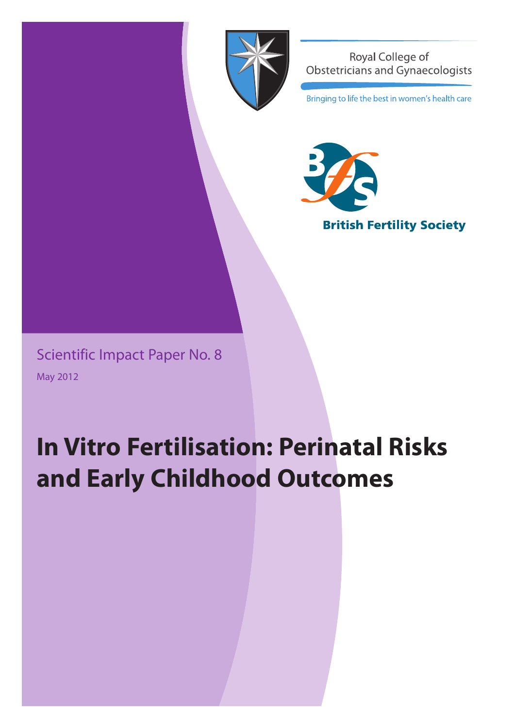

**Royal College of** Obstetricians and Gynaecologists

Bringing to life the best in women's health care



Scientific Impact Paper No. 8 May 2012

# **In Vitro Fertilisation: Perinatal Risks and Early Childhood Outcomes**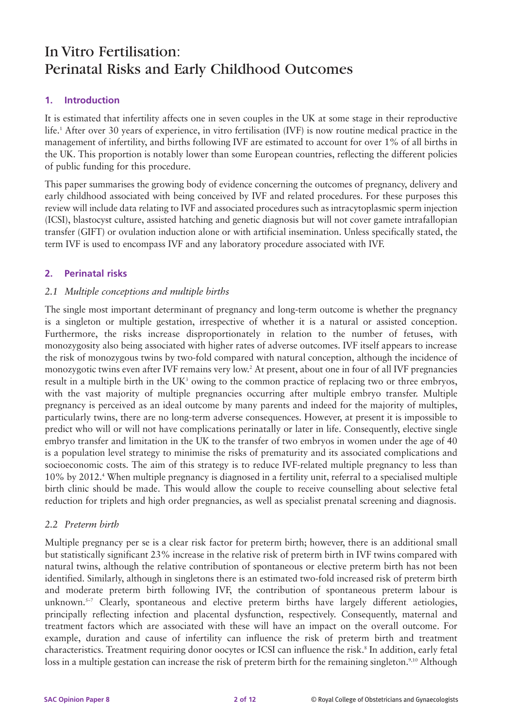# In Vitro Fertilisation: Perinatal Risks and Early Childhood Outcomes

# **1. Introduction**

It is estimated that infertility affects one in seven couples in the UK at some stage in their reproductive life.1 After over 30 years of experience, in vitro fertilisation (IVF) is now routine medical practice in the management of infertility, and births following IVF are estimated to account for over 1% of all births in the UK. This proportion is notably lower than some European countries, reflecting the different policies of public funding for this procedure.

This paper summarises the growing body of evidence concerning the outcomes of pregnancy, delivery and early childhood associated with being conceived by IVF and related procedures. For these purposes this review will include data relating to IVF and associated procedures such as intracytoplasmic sperm injection (ICSI), blastocyst culture, assisted hatching and genetic diagnosis but will not cover gamete intrafallopian transfer (GIFT) or ovulation induction alone or with artificial insemination. Unless specifically stated, the term IVF is used to encompass IVF and any laboratory procedure associated with IVF.

# **2. Perinatal risks**

# *2.1 Multiple conceptions and multiple births*

The single most important determinant of pregnancy and long-term outcome is whether the pregnancy is a singleton or multiple gestation, irrespective of whether it is a natural or assisted conception. Furthermore, the risks increase disproportionately in relation to the number of fetuses, with monozygosity also being associated with higher rates of adverse outcomes. IVF itself appears to increase the risk of monozygous twins by two-fold compared with natural conception, although the incidence of monozygotic twins even after IVF remains very low.2 At present, about one in four of all IVF pregnancies result in a multiple birth in the UK<sup>3</sup> owing to the common practice of replacing two or three embryos, with the vast majority of multiple pregnancies occurring after multiple embryo transfer. Multiple pregnancy is perceived as an ideal outcome by many parents and indeed for the majority of multiples, particularly twins, there are no long-term adverse consequences. However, at present it is impossible to predict who will or will not have complications perinatally or later in life. Consequently, elective single embryo transfer and limitation in the UK to the transfer of two embryos in women under the age of 40 is a population level strategy to minimise the risks of prematurity and its associated complications and socioeconomic costs. The aim of this strategy is to reduce IVF-related multiple pregnancy to less than 10% by 2012.4 When multiple pregnancy is diagnosed in a fertility unit, referral to a specialised multiple birth clinic should be made. This would allow the couple to receive counselling about selective fetal reduction for triplets and high order pregnancies, as well as specialist prenatal screening and diagnosis.

#### *2.2 Preterm birth*

Multiple pregnancy per se is a clear risk factor for preterm birth; however, there is an additional small but statistically significant 23% increase in the relative risk of preterm birth in IVF twins compared with natural twins, although the relative contribution of spontaneous or elective preterm birth has not been identified. Similarly, although in singletons there is an estimated two-fold increased risk of preterm birth and moderate preterm birth following IVF, the contribution of spontaneous preterm labour is unknown.<sup>5-7</sup> Clearly, spontaneous and elective preterm births have largely different aetiologies, principally reflecting infection and placental dysfunction, respectively. Consequently, maternal and treatment factors which are associated with these will have an impact on the overall outcome. For example, duration and cause of infertility can influence the risk of preterm birth and treatment characteristics. Treatment requiring donor oocytes or ICSI can influence the risk.<sup>8</sup> In addition, early fetal loss in a multiple gestation can increase the risk of preterm birth for the remaining singleton.<sup>9,10</sup> Although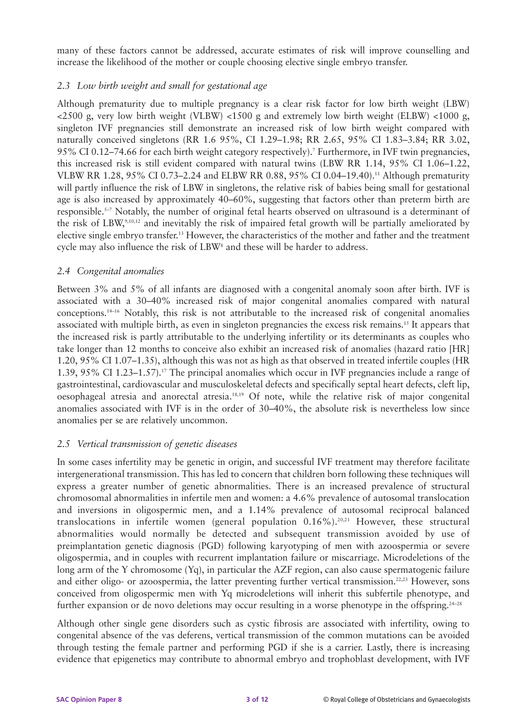many of these factors cannot be addressed, accurate estimates of risk will improve counselling and increase the likelihood of the mother or couple choosing elective single embryo transfer.

# *2.3 Low birth weight and small for gestational age*

Although prematurity due to multiple pregnancy is a clear risk factor for low birth weight (LBW) <2500 g, very low birth weight (VLBW) <1500 g and extremely low birth weight (ELBW) <1000 g, singleton IVF pregnancies still demonstrate an increased risk of low birth weight compared with naturally conceived singletons (RR 1.6 95%, CI 1.29–1.98; RR 2.65, 95% CI 1.83–3.84; RR 3.02, 95% CI 0.12–74.66 for each birth weight category respectively).7 Furthermore, in IVF twin pregnancies, this increased risk is still evident compared with natural twins (LBW RR 1.14, 95% CI 1.06–1.22, VLBW RR 1.28, 95% CI 0.73–2.24 and ELBW RR 0.88, 95% CI 0.04–19.40).11 Although prematurity will partly influence the risk of LBW in singletons, the relative risk of babies being small for gestational age is also increased by approximately 40–60%, suggesting that factors other than preterm birth are responsible.5–7 Notably, the number of original fetal hearts observed on ultrasound is a determinant of the risk of LBW,9,10,12 and inevitably the risk of impaired fetal growth will be partially ameliorated by elective single embryo transfer.13 However, the characteristics of the mother and father and the treatment cycle may also influence the risk of LBW<sup>8</sup> and these will be harder to address.

#### *2.4 Congenital anomalies*

Between 3% and 5% of all infants are diagnosed with a congenital anomaly soon after birth. IVF is associated with a 30–40% increased risk of major congenital anomalies compared with natural conceptions.14–16 Notably, this risk is not attributable to the increased risk of congenital anomalies associated with multiple birth, as even in singleton pregnancies the excess risk remains.15 It appears that the increased risk is partly attributable to the underlying infertility or its determinants as couples who take longer than 12 months to conceive also exhibit an increased risk of anomalies (hazard ratio [HR] 1.20, 95% CI 1.07–1.35), although this was not as high as that observed in treated infertile couples (HR 1.39, 95% CI 1.23–1.57).17 The principal anomalies which occur in IVF pregnancies include a range of gastrointestinal, cardiovascular and musculoskeletal defects and specifically septal heart defects, cleft lip, oesophageal atresia and anorectal atresia.18,19 Of note, while the relative risk of major congenital anomalies associated with IVF is in the order of 30–40%, the absolute risk is nevertheless low since anomalies per se are relatively uncommon.

# *2.5 Vertical transmission of genetic diseases*

In some cases infertility may be genetic in origin, and successful IVF treatment may therefore facilitate intergenerational transmission. This has led to concern that children born following these techniques will express a greater number of genetic abnormalities. There is an increased prevalence of structural chromosomal abnormalities in infertile men and women: a 4.6% prevalence of autosomal translocation and inversions in oligospermic men, and a 1.14% prevalence of autosomal reciprocal balanced translocations in infertile women (general population 0.16%).20,21 However, these structural abnormalities would normally be detected and subsequent transmission avoided by use of preimplantation genetic diagnosis (PGD) following karyotyping of men with azoospermia or severe oligospermia, and in couples with recurrent implantation failure or miscarriage. Microdeletions of the long arm of the Y chromosome (Yq), in particular the AZF region, can also cause spermatogenic failure and either oligo- or azoospermia, the latter preventing further vertical transmission.<sup>22,23</sup> However, sons conceived from oligospermic men with Yq microdeletions will inherit this subfertile phenotype, and further expansion or de novo deletions may occur resulting in a worse phenotype in the offspring.<sup>24–28</sup>

Although other single gene disorders such as cystic fibrosis are associated with infertility, owing to congenital absence of the vas deferens, vertical transmission of the common mutations can be avoided through testing the female partner and performing PGD if she is a carrier. Lastly, there is increasing evidence that epigenetics may contribute to abnormal embryo and trophoblast development, with IVF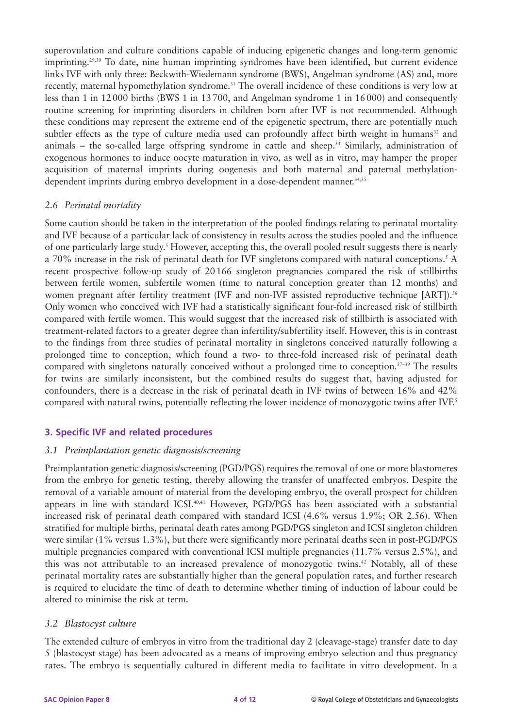superovulation and culture conditions capable of inducing epigenetic changes and long-term genomic imprinting.<sup>29,30</sup> To date, nine human imprinting syndromes have been identified, but current evidence links IVF with only three: Beckwith-Wiedemann syndrome (BWS), Angelman syndrome (AS) and, more recently, maternal hypomethylation syndrome.<sup>31</sup> The overall incidence of these conditions is very low at less than 1 in 12 000 births (BWS 1 in 13 700, and Angelman syndrome 1 in 16 000) and consequently routine screening for imprinting disorders in children born after IVF is not recommended. Although these conditions may represent the extreme end of the epigenetic spectrum, there are potentially much subtler effects as the type of culture media used can profoundly affect birth weight in humans<sup>32</sup> and animals – the so-called large offspring syndrome in cattle and sheep.<sup>33</sup> Similarly, administration of exogenous hormones to induce oocyte maturation in vivo, as well as in vitro, may hamper the proper acquisition of maternal imprints during oogenesis and both maternal and paternal methylationdependent imprints during embryo development in a dose-dependent manner.<sup>34,35</sup>

#### *2.6 Perinatal mortality*

Some caution should be taken in the interpretation of the pooled findings relating to perinatal mortality and IVF because of a particular lack of consistency in results across the studies pooled and the influence of one particularly large study.5 However, accepting this, the overall pooled result suggests there is nearly a 70% increase in the risk of perinatal death for IVF singletons compared with natural conceptions.5 A recent prospective follow-up study of 20 166 singleton pregnancies compared the risk of stillbirths between fertile women, subfertile women (time to natural conception greater than 12 months) and women pregnant after fertility treatment (IVF and non-IVF assisted reproductive technique [ART]).<sup>36</sup> Only women who conceived with IVF had a statistically significant four-fold increased risk of stillbirth compared with fertile women. This would suggest that the increased risk of stillbirth is associated with treatment-related factors to a greater degree than infertility/subfertility itself. However, this is in contrast to the findings from three studies of perinatal mortality in singletons conceived naturally following a prolonged time to conception, which found a two- to three-fold increased risk of perinatal death compared with singletons naturally conceived without a prolonged time to conception.<sup>37-39</sup> The results for twins are similarly inconsistent, but the combined results do suggest that, having adjusted for confounders, there is a decrease in the risk of perinatal death in IVF twins of between 16% and 42% compared with natural twins, potentially reflecting the lower incidence of monozygotic twins after IVF.<sup>5</sup>

# **3. Specific IVF and related procedures**

#### *3.1 Preimplantation genetic diagnosis/screening*

Preimplantation genetic diagnosis/screening (PGD/PGS) requires the removal of one or more blastomeres from the embryo for genetic testing, thereby allowing the transfer of unaffected embryos. Despite the removal of a variable amount of material from the developing embryo, the overall prospect for children appears in line with standard ICSI.40,41 However, PGD/PGS has been associated with a substantial increased risk of perinatal death compared with standard ICSI (4.6% versus 1.9%; OR 2.56). When stratified for multiple births, perinatal death rates among PGD/PGS singleton and ICSI singleton children were similar (1% versus 1.3%), but there were significantly more perinatal deaths seen in post-PGD/PGS multiple pregnancies compared with conventional ICSI multiple pregnancies (11.7% versus 2.5%), and this was not attributable to an increased prevalence of monozygotic twins.<sup>42</sup> Notably, all of these perinatal mortality rates are substantially higher than the general population rates, and further research is required to elucidate the time of death to determine whether timing of induction of labour could be altered to minimise the risk at term.

#### *3.2 Blastocyst culture*

The extended culture of embryos in vitro from the traditional day 2 (cleavage-stage) transfer date to day 5 (blastocyst stage) has been advocated as a means of improving embryo selection and thus pregnancy rates. The embryo is sequentially cultured in different media to facilitate in vitro development. In a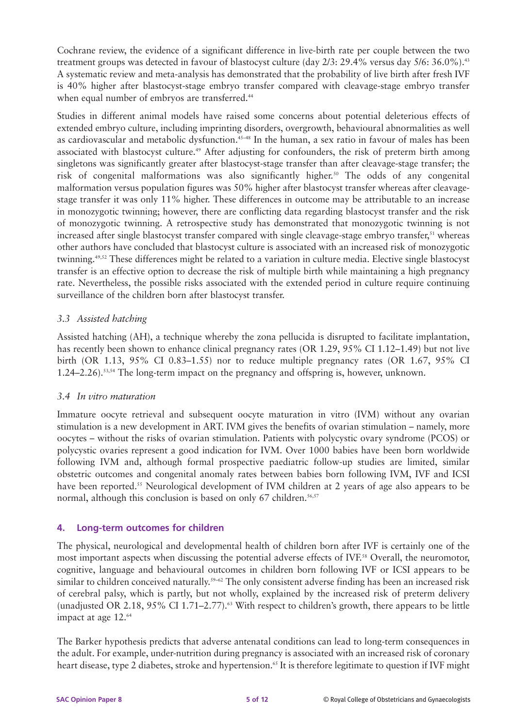Cochrane review, the evidence of a significant difference in live-birth rate per couple between the two treatment groups was detected in favour of blastocyst culture (day 2/3: 29.4% versus day 5/6: 36.0%).<sup>43</sup> A systematic review and meta-analysis has demonstrated that the probability of live birth after fresh IVF is 40% higher after blastocyst-stage embryo transfer compared with cleavage-stage embryo transfer when equal number of embryos are transferred.<sup>44</sup>

Studies in different animal models have raised some concerns about potential deleterious effects of extended embryo culture, including imprinting disorders, overgrowth, behavioural abnormalities as well as cardiovascular and metabolic dysfunction.<sup>45-48</sup> In the human, a sex ratio in favour of males has been associated with blastocyst culture.<sup>49</sup> After adjusting for confounders, the risk of preterm birth among singletons was significantly greater after blastocyst-stage transfer than after cleavage-stage transfer; the risk of congenital malformations was also significantly higher.<sup>50</sup> The odds of any congenital malformation versus population figures was 50% higher after blastocyst transfer whereas after cleavagestage transfer it was only 11% higher. These differences in outcome may be attributable to an increase in monozygotic twinning; however, there are conflicting data regarding blastocyst transfer and the risk of monozygotic twinning. A retrospective study has demonstrated that monozygotic twinning is not increased after single blastocyst transfer compared with single cleavage-stage embryo transfer,<sup>51</sup> whereas other authors have concluded that blastocyst culture is associated with an increased risk of monozygotic twinning.49,52 These differences might be related to a variation in culture media. Elective single blastocyst transfer is an effective option to decrease the risk of multiple birth while maintaining a high pregnancy rate. Nevertheless, the possible risks associated with the extended period in culture require continuing surveillance of the children born after blastocyst transfer.

# *3.3 Assisted hatching*

Assisted hatching (AH), a technique whereby the zona pellucida is disrupted to facilitate implantation, has recently been shown to enhance clinical pregnancy rates (OR 1.29, 95% CI 1.12–1.49) but not live birth (OR 1.13, 95% CI 0.83–1.55) nor to reduce multiple pregnancy rates (OR 1.67, 95% CI 1.24–2.26).<sup>53,54</sup> The long-term impact on the pregnancy and offspring is, however, unknown.

#### *3.4 In vitro maturation*

Immature oocyte retrieval and subsequent oocyte maturation in vitro (IVM) without any ovarian stimulation is a new development in ART. IVM gives the benefits of ovarian stimulation – namely, more oocytes – without the risks of ovarian stimulation. Patients with polycystic ovary syndrome (PCOS) or polycystic ovaries represent a good indication for IVM. Over 1000 babies have been born worldwide following IVM and, although formal prospective paediatric follow-up studies are limited, similar obstetric outcomes and congenital anomaly rates between babies born following IVM, IVF and ICSI have been reported.<sup>55</sup> Neurological development of IVM children at 2 years of age also appears to be normal, although this conclusion is based on only  $67$  children.<sup>56,57</sup>

#### **4. Long-term outcomes for children**

The physical, neurological and developmental health of children born after IVF is certainly one of the most important aspects when discussing the potential adverse effects of IVF.58 Overall, the neuromotor, cognitive, language and behavioural outcomes in children born following IVF or ICSI appears to be similar to children conceived naturally.<sup>59-62</sup> The only consistent adverse finding has been an increased risk of cerebral palsy, which is partly, but not wholly, explained by the increased risk of preterm delivery (unadjusted OR 2.18,  $95\%$  CI 1.71–2.77).<sup>63</sup> With respect to children's growth, there appears to be little impact at age 12.<sup>64</sup>

The Barker hypothesis predicts that adverse antenatal conditions can lead to long-term consequences in the adult. For example, under-nutrition during pregnancy is associated with an increased risk of coronary heart disease, type 2 diabetes, stroke and hypertension.<sup>65</sup> It is therefore legitimate to question if IVF might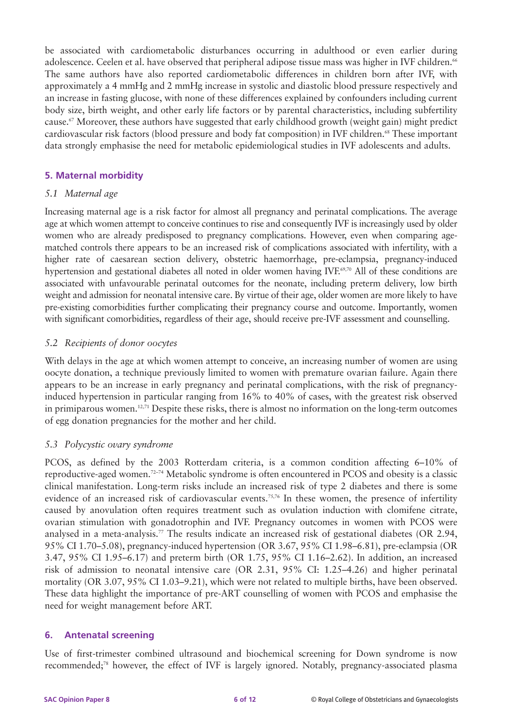be associated with cardiometabolic disturbances occurring in adulthood or even earlier during adolescence. Ceelen et al. have observed that peripheral adipose tissue mass was higher in IVF children.<sup>66</sup> The same authors have also reported cardiometabolic differences in children born after IVF, with approximately a 4 mmHg and 2 mmHg increase in systolic and diastolic blood pressure respectively and an increase in fasting glucose, with none of these differences explained by confounders including current body size, birth weight, and other early life factors or by parental characteristics, including subfertility cause.67 Moreover, these authors have suggested that early childhood growth (weight gain) might predict cardiovascular risk factors (blood pressure and body fat composition) in IVF children.68 These important data strongly emphasise the need for metabolic epidemiological studies in IVF adolescents and adults.

#### **5. Maternal morbidity**

#### *5.1 Maternal age*

Increasing maternal age is a risk factor for almost all pregnancy and perinatal complications. The average age at which women attempt to conceive continues to rise and consequently IVF is increasingly used by older women who are already predisposed to pregnancy complications. However, even when comparing agematched controls there appears to be an increased risk of complications associated with infertility, with a higher rate of caesarean section delivery, obstetric haemorrhage, pre-eclampsia, pregnancy-induced hypertension and gestational diabetes all noted in older women having IVF.<sup>69,70</sup> All of these conditions are associated with unfavourable perinatal outcomes for the neonate, including preterm delivery, low birth weight and admission for neonatal intensive care. By virtue of their age, older women are more likely to have pre-existing comorbidities further complicating their pregnancy course and outcome. Importantly, women with significant comorbidities, regardless of their age, should receive pre-IVF assessment and counselling.

# *5.2 Recipients of donor oocytes*

With delays in the age at which women attempt to conceive, an increasing number of women are using oocyte donation, a technique previously limited to women with premature ovarian failure. Again there appears to be an increase in early pregnancy and perinatal complications, with the risk of pregnancyinduced hypertension in particular ranging from 16% to 40% of cases, with the greatest risk observed in primiparous women.12,71 Despite these risks, there is almost no information on the long-term outcomes of egg donation pregnancies for the mother and her child.

# *5.3 Polycystic ovary syndrome*

PCOS, as defined by the 2003 Rotterdam criteria, is a common condition affecting 6–10% of reproductive-aged women.72–74 Metabolic syndrome is often encountered in PCOS and obesity is a classic clinical manifestation. Long-term risks include an increased risk of type 2 diabetes and there is some evidence of an increased risk of cardiovascular events.<sup>75,76</sup> In these women, the presence of infertility caused by anovulation often requires treatment such as ovulation induction with clomifene citrate, ovarian stimulation with gonadotrophin and IVF. Pregnancy outcomes in women with PCOS were analysed in a meta-analysis.<sup>77</sup> The results indicate an increased risk of gestational diabetes (OR 2.94, 95% CI 1.70–5.08), pregnancy-induced hypertension (OR 3.67, 95% CI 1.98–6.81), pre-eclampsia (OR 3.47, 95% CI 1.95–6.17) and preterm birth (OR 1.75, 95% CI 1.16–2.62). In addition, an increased risk of admission to neonatal intensive care (OR 2.31, 95% CI: 1.25–4.26) and higher perinatal mortality (OR 3.07, 95% CI 1.03–9.21), which were not related to multiple births, have been observed. These data highlight the importance of pre-ART counselling of women with PCOS and emphasise the need for weight management before ART.

#### **6. Antenatal screening**

Use of first-trimester combined ultrasound and biochemical screening for Down syndrome is now recommended;78 however, the effect of IVF is largely ignored. Notably, pregnancy-associated plasma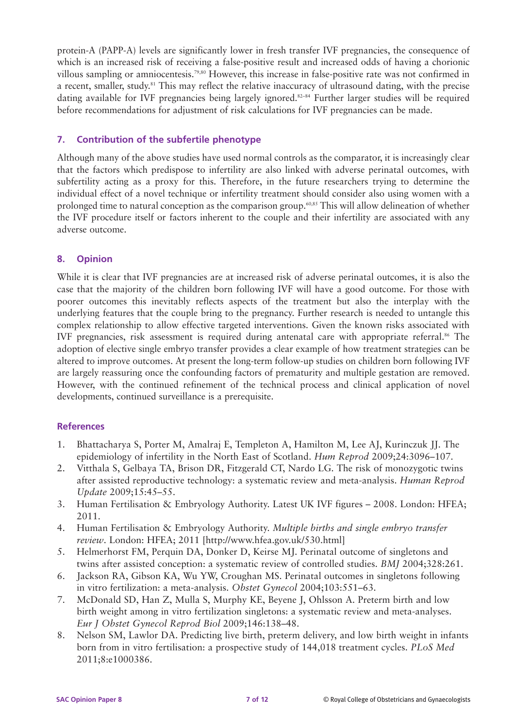protein-A (PAPP-A) levels are significantly lower in fresh transfer IVF pregnancies, the consequence of which is an increased risk of receiving a false-positive result and increased odds of having a chorionic villous sampling or amniocentesis.79,80 However, this increase in false-positive rate was not confirmed in a recent, smaller, study.81 This may reflect the relative inaccuracy of ultrasound dating, with the precise dating available for IVF pregnancies being largely ignored.<sup>82–84</sup> Further larger studies will be required before recommendations for adjustment of risk calculations for IVF pregnancies can be made.

# **7. Contribution of the subfertile phenotype**

Although many of the above studies have used normal controls as the comparator, it is increasingly clear that the factors which predispose to infertility are also linked with adverse perinatal outcomes, with subfertility acting as a proxy for this. Therefore, in the future researchers trying to determine the individual effect of a novel technique or infertility treatment should consider also using women with a prolonged time to natural conception as the comparison group.<sup>60,85</sup> This will allow delineation of whether the IVF procedure itself or factors inherent to the couple and their infertility are associated with any adverse outcome.

# **8. Opinion**

While it is clear that IVF pregnancies are at increased risk of adverse perinatal outcomes, it is also the case that the majority of the children born following IVF will have a good outcome. For those with poorer outcomes this inevitably reflects aspects of the treatment but also the interplay with the underlying features that the couple bring to the pregnancy. Further research is needed to untangle this complex relationship to allow effective targeted interventions. Given the known risks associated with IVF pregnancies, risk assessment is required during antenatal care with appropriate referral.<sup>86</sup> The adoption of elective single embryo transfer provides a clear example of how treatment strategies can be altered to improve outcomes. At present the long-term follow-up studies on children born following IVF are largely reassuring once the confounding factors of prematurity and multiple gestation are removed. However, with the continued refinement of the technical process and clinical application of novel developments, continued surveillance is a prerequisite.

#### **References**

- 1. Bhattacharya S, Porter M, Amalraj E, Templeton A, Hamilton M, Lee AJ, Kurinczuk JJ. The epidemiology of infertility in the North East of Scotland. *Hum Reprod* 2009;24:3096–107.
- 2. Vitthala S, Gelbaya TA, Brison DR, Fitzgerald CT, Nardo LG. The risk of monozygotic twins after assisted reproductive technology: a systematic review and meta-analysis. *Human Reprod Update* 2009;15:45–55.
- 3. Human Fertilisation & Embryology Authority. Latest UK IVF figures 2008. London: HFEA; 2011.
- 4. Human Fertilisation & Embryology Authority. *Multiple births and single embryo transfer review*. London: HFEA; 2011 [http://www.hfea.gov.uk/530.html]
- 5. Helmerhorst FM, Perquin DA, Donker D, Keirse MJ. Perinatal outcome of singletons and twins after assisted conception: a systematic review of controlled studies. *BMJ* 2004;328:261.
- 6. Jackson RA, Gibson KA, Wu YW, Croughan MS. Perinatal outcomes in singletons following in vitro fertilization: a meta-analysis. *Obstet Gynecol* 2004;103:551–63.
- 7. McDonald SD, Han Z, Mulla S, Murphy KE, Beyene J, Ohlsson A. Preterm birth and low birth weight among in vitro fertilization singletons: a systematic review and meta-analyses. *Eur J Obstet Gynecol Reprod Biol* 2009;146:138–48.
- 8. Nelson SM, Lawlor DA. Predicting live birth, preterm delivery, and low birth weight in infants born from in vitro fertilisation: a prospective study of 144,018 treatment cycles. *PLoS Med* 2011;8:e1000386.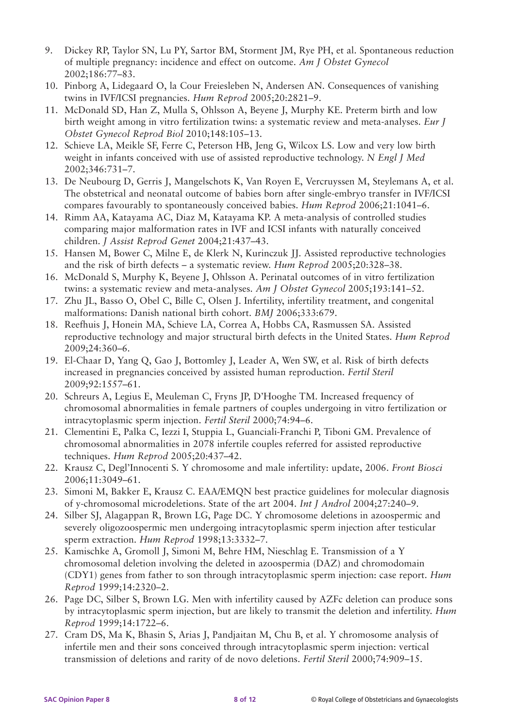- 9. Dickey RP, Taylor SN, Lu PY, Sartor BM, Storment JM, Rye PH, et al. Spontaneous reduction of multiple pregnancy: incidence and effect on outcome. *Am J Obstet Gynecol* 2002;186:77–83.
- 10. Pinborg A, Lidegaard O, la Cour Freiesleben N, Andersen AN. Consequences of vanishing twins in IVF/ICSI pregnancies. *Hum Reprod* 2005;20:2821–9.
- 11. McDonald SD, Han Z, Mulla S, Ohlsson A, Beyene J, Murphy KE. Preterm birth and low birth weight among in vitro fertilization twins: a systematic review and meta-analyses. *Eur J Obstet Gynecol Reprod Biol* 2010;148:105–13.
- 12. Schieve LA, Meikle SF, Ferre C, Peterson HB, Jeng G, Wilcox LS. Low and very low birth weight in infants conceived with use of assisted reproductive technology. *N Engl J Med* 2002;346:731–7.
- 13. De Neubourg D, Gerris J, Mangelschots K, Van Royen E, Vercruyssen M, Steylemans A, et al. The obstetrical and neonatal outcome of babies born after single-embryo transfer in IVF/ICSI compares favourably to spontaneously conceived babies. *Hum Reprod* 2006;21:1041–6.
- 14. Rimm AA, Katayama AC, Diaz M, Katayama KP. A meta-analysis of controlled studies comparing major malformation rates in IVF and ICSI infants with naturally conceived children. *J Assist Reprod Genet* 2004;21:437–43.
- 15. Hansen M, Bower C, Milne E, de Klerk N, Kurinczuk JJ. Assisted reproductive technologies and the risk of birth defects – a systematic review. *Hum Reprod* 2005;20:328–38.
- 16. McDonald S, Murphy K, Beyene J, Ohlsson A. Perinatal outcomes of in vitro fertilization twins: a systematic review and meta-analyses. *Am J Obstet Gynecol* 2005;193:141–52.
- 17. Zhu JL, Basso O, Obel C, Bille C, Olsen J. Infertility, infertility treatment, and congenital malformations: Danish national birth cohort. *BMJ* 2006;333:679.
- 18. Reefhuis J, Honein MA, Schieve LA, Correa A, Hobbs CA, Rasmussen SA. Assisted reproductive technology and major structural birth defects in the United States. *Hum Reprod* 2009;24:360–6.
- 19. El-Chaar D, Yang Q, Gao J, Bottomley J, Leader A, Wen SW, et al. Risk of birth defects increased in pregnancies conceived by assisted human reproduction. *Fertil Steril* 2009;92:1557–61.
- 20. Schreurs A, Legius E, Meuleman C, Fryns JP, D'Hooghe TM. Increased frequency of chromosomal abnormalities in female partners of couples undergoing in vitro fertilization or intracytoplasmic sperm injection. *Fertil Steril* 2000;74:94–6.
- 21. Clementini E, Palka C, Iezzi I, Stuppia L, Guanciali-Franchi P, Tiboni GM. Prevalence of chromosomal abnormalities in 2078 infertile couples referred for assisted reproductive techniques. *Hum Reprod* 2005;20:437–42.
- 22. Krausz C, Degl'Innocenti S. Y chromosome and male infertility: update, 2006. *Front Biosci* 2006;11:3049–61.
- 23. Simoni M, Bakker E, Krausz C. EAA/EMQN best practice guidelines for molecular diagnosis of y-chromosomal microdeletions. State of the art 2004. *Int J Androl* 2004;27:240–9.
- 24. Silber SJ, Alagappan R, Brown LG, Page DC. Y chromosome deletions in azoospermic and severely oligozoospermic men undergoing intracytoplasmic sperm injection after testicular sperm extraction. *Hum Reprod* 1998;13:3332–7.
- 25. Kamischke A, Gromoll J, Simoni M, Behre HM, Nieschlag E. Transmission of a Y chromosomal deletion involving the deleted in azoospermia (DAZ) and chromodomain (CDY1) genes from father to son through intracytoplasmic sperm injection: case report. *Hum Reprod* 1999;14:2320–2.
- 26. Page DC, Silber S, Brown LG. Men with infertility caused by AZFc deletion can produce sons by intracytoplasmic sperm injection, but are likely to transmit the deletion and infertility. *Hum Reprod* 1999;14:1722–6.
- 27. Cram DS, Ma K, Bhasin S, Arias J, Pandjaitan M, Chu B, et al. Y chromosome analysis of infertile men and their sons conceived through intracytoplasmic sperm injection: vertical transmission of deletions and rarity of de novo deletions. *Fertil Steril* 2000;74:909–15.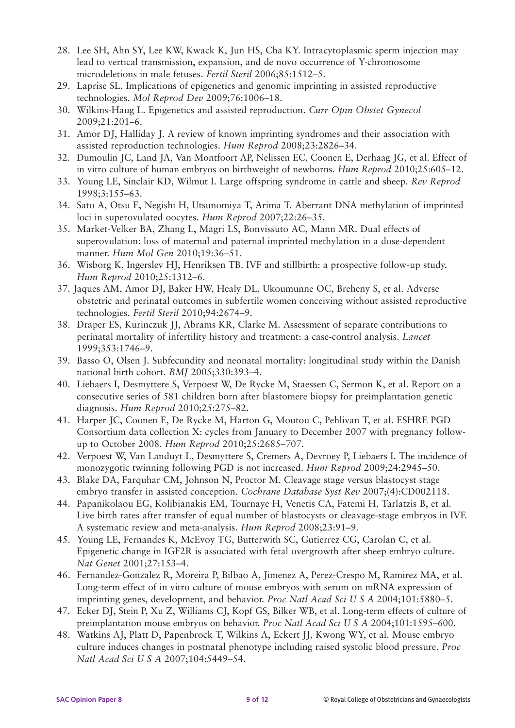- 28. Lee SH, Ahn SY, Lee KW, Kwack K, Jun HS, Cha KY. Intracytoplasmic sperm injection may lead to vertical transmission, expansion, and de novo occurrence of Y-chromosome microdeletions in male fetuses. *Fertil Steril* 2006;85:1512–5.
- 29. Laprise SL. Implications of epigenetics and genomic imprinting in assisted reproductive technologies. *Mol Reprod Dev* 2009;76:1006–18.
- 30. Wilkins-Haug L. Epigenetics and assisted reproduction. *Curr Opin Obstet Gynecol* 2009;21:201–6.
- 31. Amor DJ, Halliday J. A review of known imprinting syndromes and their association with assisted reproduction technologies. *Hum Reprod* 2008;23:2826–34.
- 32. Dumoulin JC, Land JA, Van Montfoort AP, Nelissen EC, Coonen E, Derhaag JG, et al. Effect of in vitro culture of human embryos on birthweight of newborns. *Hum Reprod* 2010;25:605–12.
- 33. Young LE, Sinclair KD, Wilmut I. Large offspring syndrome in cattle and sheep. *Rev Reprod* 1998;3:155–63.
- 34. Sato A, Otsu E, Negishi H, Utsunomiya T, Arima T. Aberrant DNA methylation of imprinted loci in superovulated oocytes. *Hum Reprod* 2007;22:26–35.
- 35. Market-Velker BA, Zhang L, Magri LS, Bonvissuto AC, Mann MR. Dual effects of superovulation: loss of maternal and paternal imprinted methylation in a dose-dependent manner. *Hum Mol Gen* 2010;19:36–51.
- 36. Wisborg K, Ingerslev HJ, Henriksen TB. IVF and stillbirth: a prospective follow-up study. *Hum Reprod* 2010;25:1312–6.
- 37. Jaques AM, Amor DJ, Baker HW, Healy DL, Ukoumunne OC, Breheny S, et al. Adverse obstetric and perinatal outcomes in subfertile women conceiving without assisted reproductive technologies. *Fertil Steril* 2010;94:2674–9.
- 38. Draper ES, Kurinczuk JJ, Abrams KR, Clarke M. Assessment of separate contributions to perinatal mortality of infertility history and treatment: a case-control analysis. *Lancet* 1999;353:1746–9.
- 39. Basso O, Olsen J. Subfecundity and neonatal mortality: longitudinal study within the Danish national birth cohort. *BMJ* 2005;330:393–4.
- 40. Liebaers I, Desmyttere S, Verpoest W, De Rycke M, Staessen C, Sermon K, et al. Report on a consecutive series of 581 children born after blastomere biopsy for preimplantation genetic diagnosis. *Hum Reprod* 2010;25:275–82.
- 41. Harper JC, Coonen E, De Rycke M, Harton G, Moutou C, Pehlivan T, et al. ESHRE PGD Consortium data collection X: cycles from January to December 2007 with pregnancy followup to October 2008. *Hum Reprod* 2010;25:2685–707.
- 42. Verpoest W, Van Landuyt L, Desmyttere S, Cremers A, Devroey P, Liebaers I. The incidence of monozygotic twinning following PGD is not increased. *Hum Reprod* 2009;24:2945–50.
- 43. Blake DA, Farquhar CM, Johnson N, Proctor M. Cleavage stage versus blastocyst stage embryo transfer in assisted conception. *Cochrane Database Syst Rev* 2007;(4):CD002118.
- 44. Papanikolaou EG, Kolibianakis EM, Tournaye H, Venetis CA, Fatemi H, Tarlatzis B, et al. Live birth rates after transfer of equal number of blastocysts or cleavage-stage embryos in IVF. A systematic review and meta-analysis. *Hum Reprod* 2008;23:91–9.
- 45. Young LE, Fernandes K, McEvoy TG, Butterwith SC, Gutierrez CG, Carolan C, et al. Epigenetic change in IGF2R is associated with fetal overgrowth after sheep embryo culture. *Nat Genet* 2001;27:153–4.
- 46. Fernandez-Gonzalez R, Moreira P, Bilbao A, Jimenez A, Perez-Crespo M, Ramirez MA, et al. Long-term effect of in vitro culture of mouse embryos with serum on mRNA expression of imprinting genes, development, and behavior. *Proc Natl Acad Sci U S A* 2004;101:5880–5.
- 47. Ecker DJ, Stein P, Xu Z, Williams CJ, Kopf GS, Bilker WB, et al. Long-term effects of culture of preimplantation mouse embryos on behavior. *Proc Natl Acad Sci U S A* 2004;101:1595–600.
- 48. Watkins AJ, Platt D, Papenbrock T, Wilkins A, Eckert JJ, Kwong WY, et al. Mouse embryo culture induces changes in postnatal phenotype including raised systolic blood pressure. *Proc Natl Acad Sci U S A* 2007;104:5449–54.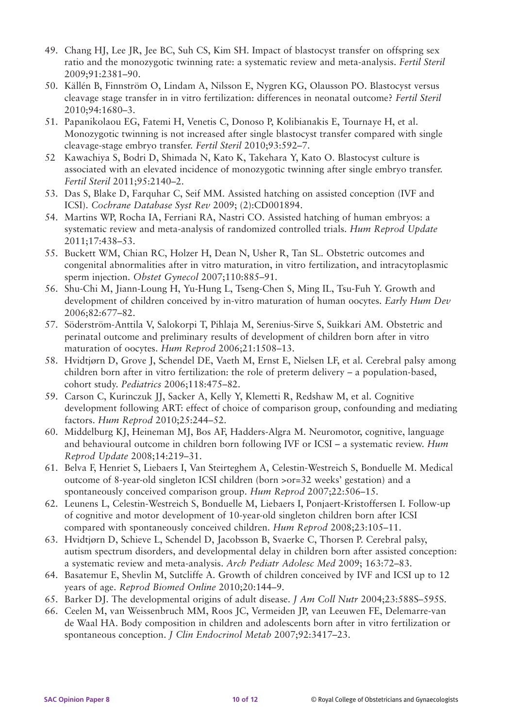- 49. Chang HJ, Lee JR, Jee BC, Suh CS, Kim SH. Impact of blastocyst transfer on offspring sex ratio and the monozygotic twinning rate: a systematic review and meta-analysis. *Fertil Steril* 2009;91:2381–90.
- 50. Källén B, Finnström O, Lindam A, Nilsson E, Nygren KG, Olausson PO. Blastocyst versus cleavage stage transfer in in vitro fertilization: differences in neonatal outcome? *Fertil Steril* 2010;94:1680–3.
- 51. Papanikolaou EG, Fatemi H, Venetis C, Donoso P, Kolibianakis E, Tournaye H, et al. Monozygotic twinning is not increased after single blastocyst transfer compared with single cleavage-stage embryo transfer. *Fertil Steril* 2010;93:592–7.
- 52 Kawachiya S, Bodri D, Shimada N, Kato K, Takehara Y, Kato O. Blastocyst culture is associated with an elevated incidence of monozygotic twinning after single embryo transfer. *Fertil Steril* 2011;95:2140–2.
- 53. Das S, Blake D, Farquhar C, Seif MM. Assisted hatching on assisted conception (IVF and ICSI). *Cochrane Database Syst Rev* 2009; (2):CD001894.
- 54. Martins WP, Rocha IA, Ferriani RA, Nastri CO. Assisted hatching of human embryos: a systematic review and meta-analysis of randomized controlled trials. *Hum Reprod Update* 2011;17:438–53.
- 55. Buckett WM, Chian RC, Holzer H, Dean N, Usher R, Tan SL. Obstetric outcomes and congenital abnormalities after in vitro maturation, in vitro fertilization, and intracytoplasmic sperm injection. *Obstet Gynecol* 2007;110:885–91.
- 56. Shu-Chi M, Jiann-Loung H, Yu-Hung L, Tseng-Chen S, Ming IL, Tsu-Fuh Y. Growth and development of children conceived by in-vitro maturation of human oocytes. *Early Hum Dev* 2006;82:677–82.
- 57. Söderström-Anttila V, Salokorpi T, Pihlaja M, Serenius-Sirve S, Suikkari AM. Obstetric and perinatal outcome and preliminary results of development of children born after in vitro maturation of oocytes. *Hum Reprod* 2006;21:1508–13.
- 58. Hvidtjørn D, Grove J, Schendel DE, Vaeth M, Ernst E, Nielsen LF, et al. Cerebral palsy among children born after in vitro fertilization: the role of preterm delivery – a population-based, cohort study. *Pediatrics* 2006;118:475–82.
- 59. Carson C, Kurinczuk JJ, Sacker A, Kelly Y, Klemetti R, Redshaw M, et al. Cognitive development following ART: effect of choice of comparison group, confounding and mediating factors. *Hum Reprod* 2010;25:244–52.
- 60. Middelburg KJ, Heineman MJ, Bos AF, Hadders-Algra M. Neuromotor, cognitive, language and behavioural outcome in children born following IVF or ICSI – a systematic review. *Hum Reprod Update* 2008;14:219–31.
- 61. Belva F, Henriet S, Liebaers I, Van Steirteghem A, Celestin-Westreich S, Bonduelle M. Medical outcome of 8-year-old singleton ICSI children (born >or=32 weeks' gestation) and a spontaneously conceived comparison group. *Hum Reprod* 2007;22:506–15.
- 62. Leunens L, Celestin-Westreich S, Bonduelle M, Liebaers I, Ponjaert-Kristoffersen I. Follow-up of cognitive and motor development of 10-year-old singleton children born after ICSI compared with spontaneously conceived children. *Hum Reprod* 2008;23:105–11.
- 63. Hvidtjørn D, Schieve L, Schendel D, Jacobsson B, Svaerke C, Thorsen P. Cerebral palsy, autism spectrum disorders, and developmental delay in children born after assisted conception: a systematic review and meta-analysis. *Arch Pediatr Adolesc Med* 2009; 163:72–83.
- 64. Basatemur E, Shevlin M, Sutcliffe A. Growth of children conceived by IVF and ICSI up to 12 years of age. *Reprod Biomed Online* 2010;20:144–9.
- 65. Barker DJ. The developmental origins of adult disease. *J Am Coll Nutr* 2004;23:588S–595S.
- 66. Ceelen M, van Weissenbruch MM, Roos JC, Vermeiden JP, van Leeuwen FE, Delemarre-van de Waal HA. Body composition in children and adolescents born after in vitro fertilization or spontaneous conception. *J Clin Endocrinol Metab* 2007;92:3417–23.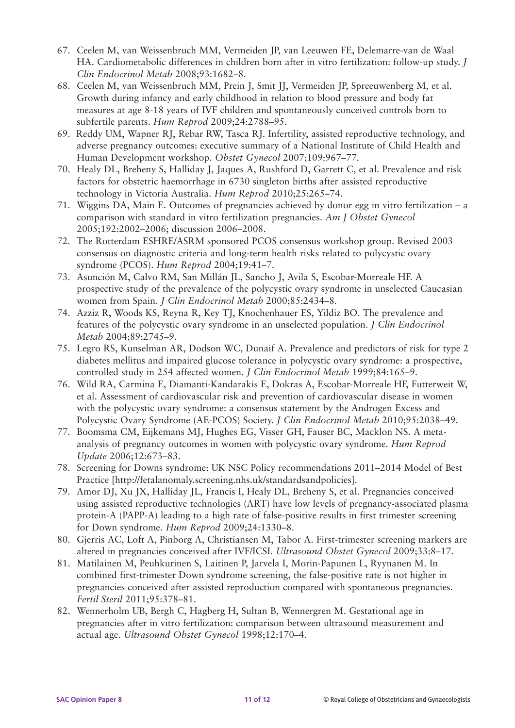- 67. Ceelen M, van Weissenbruch MM, Vermeiden JP, van Leeuwen FE, Delemarre-van de Waal HA. Cardiometabolic differences in children born after in vitro fertilization: follow-up study. *J Clin Endocrinol Metab* 2008;93:1682–8.
- 68. Ceelen M, van Weissenbruch MM, Prein J, Smit JJ, Vermeiden JP, Spreeuwenberg M, et al. Growth during infancy and early childhood in relation to blood pressure and body fat measures at age 8-18 years of IVF children and spontaneously conceived controls born to subfertile parents. *Hum Reprod* 2009;24:2788–95.
- 69. Reddy UM, Wapner RJ, Rebar RW, Tasca RJ. Infertility, assisted reproductive technology, and adverse pregnancy outcomes: executive summary of a National Institute of Child Health and Human Development workshop. *Obstet Gynecol* 2007;109:967–77.
- 70. Healy DL, Breheny S, Halliday J, Jaques A, Rushford D, Garrett C, et al. Prevalence and risk factors for obstetric haemorrhage in 6730 singleton births after assisted reproductive technology in Victoria Australia. *Hum Reprod* 2010;25:265–74.
- 71. Wiggins DA, Main E. Outcomes of pregnancies achieved by donor egg in vitro fertilization a comparison with standard in vitro fertilization pregnancies. *Am J Obstet Gynecol* 2005;192:2002–2006; discussion 2006–2008.
- 72. The Rotterdam ESHRE/ASRM sponsored PCOS consensus workshop group. Revised 2003 consensus on diagnostic criteria and long-term health risks related to polycystic ovary syndrome (PCOS). *Hum Reprod* 2004;19:41–7.
- 73. Asunción M, Calvo RM, San Millán JL, Sancho J, Avila S, Escobar-Morreale HF. A prospective study of the prevalence of the polycystic ovary syndrome in unselected Caucasian women from Spain. *J Clin Endocrinol Metab* 2000;85:2434–8.
- 74. Azziz R, Woods KS, Reyna R, Key TJ, Knochenhauer ES, Yildiz BO. The prevalence and features of the polycystic ovary syndrome in an unselected population. *J Clin Endocrinol Metab* 2004;89:2745–9.
- 75. Legro RS, Kunselman AR, Dodson WC, Dunaif A. Prevalence and predictors of risk for type 2 diabetes mellitus and impaired glucose tolerance in polycystic ovary syndrome: a prospective, controlled study in 254 affected women. *J Clin Endocrinol Metab* 1999;84:165–9.
- 76. Wild RA, Carmina E, Diamanti-Kandarakis E, Dokras A, Escobar-Morreale HF, Futterweit W, et al. Assessment of cardiovascular risk and prevention of cardiovascular disease in women with the polycystic ovary syndrome: a consensus statement by the Androgen Excess and Polycystic Ovary Syndrome (AE-PCOS) Society. *J Clin Endocrinol Metab* 2010;95:2038–49.
- 77. Boomsma CM, Eijkemans MJ, Hughes EG, Visser GH, Fauser BC, Macklon NS. A metaanalysis of pregnancy outcomes in women with polycystic ovary syndrome. *Hum Reprod Update* 2006;12:673–83.
- 78. Screening for Downs syndrome: UK NSC Policy recommendations 2011–2014 Model of Best Practice [http://fetalanomaly.screening.nhs.uk/standardsandpolicies].
- 79. Amor DJ, Xu JX, Halliday JL, Francis I, Healy DL, Breheny S, et al. Pregnancies conceived using assisted reproductive technologies (ART) have low levels of pregnancy-associated plasma protein-A (PAPP-A) leading to a high rate of false-positive results in first trimester screening for Down syndrome. *Hum Reprod* 2009;24:1330–8.
- 80. Gjerris AC, Loft A, Pinborg A, Christiansen M, Tabor A. First-trimester screening markers are altered in pregnancies conceived after IVF/ICSI. *Ultrasound Obstet Gynecol* 2009;33:8–17.
- 81. Matilainen M, Peuhkurinen S, Laitinen P, Jarvela I, Morin-Papunen L, Ryynanen M. In combined first-trimester Down syndrome screening, the false-positive rate is not higher in pregnancies conceived after assisted reproduction compared with spontaneous pregnancies. *Fertil Steril* 2011;95:378–81.
- 82. Wennerholm UB, Bergh C, Hagberg H, Sultan B, Wennergren M. Gestational age in pregnancies after in vitro fertilization: comparison between ultrasound measurement and actual age. *Ultrasound Obstet Gynecol* 1998;12:170–4.